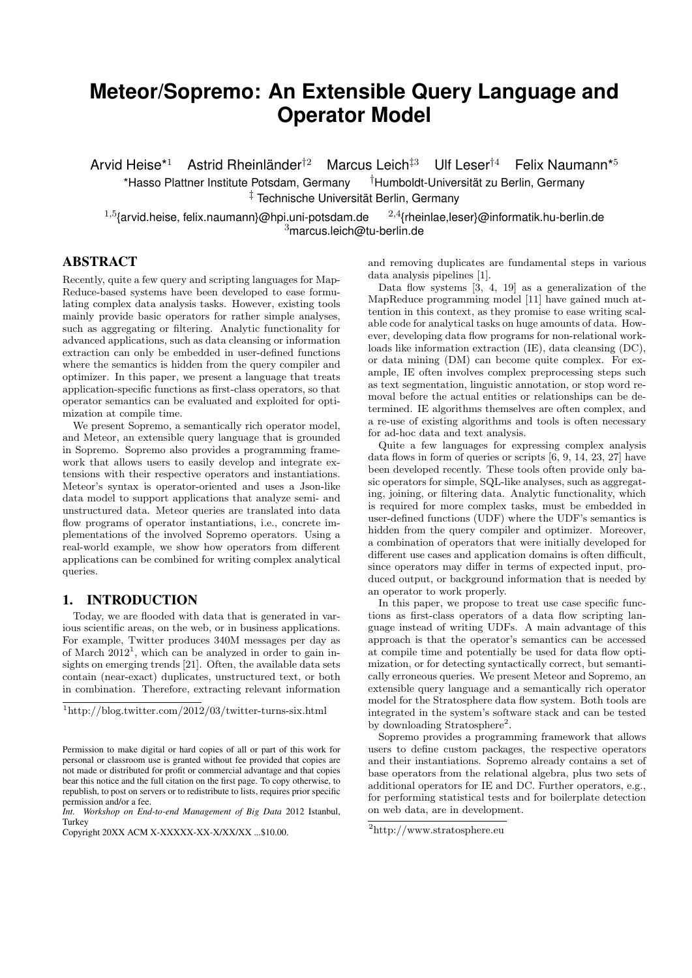# **Meteor/Sopremo: An Extensible Query Language and Operator Model**

Arvid Heise<sup>\*1</sup> Astrid Rheinländer<sup>†2</sup> Marcus Leich<sup>‡3</sup> Ulf Leser<sup>†4</sup> Felix Naumann<sup>\*5</sup>

\*Hasso Plattner Institute Potsdam, Germany †Humboldt-Universität zu Berlin, Germany ‡ Technische Universität Berlin, Germany

<sup>1,5</sup>{arvid.heise, felix.naumann}@hpi.uni-potsdam.de  $^{2,4}$ {rheinlae,leser}@informatik.hu-berlin.de <sup>3</sup>marcus.leich@tu-berlin.de

# ABSTRACT

Recently, quite a few query and scripting languages for Map-Reduce-based systems have been developed to ease formulating complex data analysis tasks. However, existing tools mainly provide basic operators for rather simple analyses, such as aggregating or filtering. Analytic functionality for advanced applications, such as data cleansing or information extraction can only be embedded in user-defined functions where the semantics is hidden from the query compiler and optimizer. In this paper, we present a language that treats application-specific functions as first-class operators, so that operator semantics can be evaluated and exploited for optimization at compile time.

We present Sopremo, a semantically rich operator model, and Meteor, an extensible query language that is grounded in Sopremo. Sopremo also provides a programming framework that allows users to easily develop and integrate extensions with their respective operators and instantiations. Meteor's syntax is operator-oriented and uses a Json-like data model to support applications that analyze semi- and unstructured data. Meteor queries are translated into data flow programs of operator instantiations, i.e., concrete implementations of the involved Sopremo operators. Using a real-world example, we show how operators from different applications can be combined for writing complex analytical queries.

## 1. INTRODUCTION

Today, we are flooded with data that is generated in various scientific areas, on the web, or in business applications. For example, Twitter produces 340M messages per day as of March 2012<sup>1</sup>, which can be analyzed in order to gain insights on emerging trends [21]. Often, the available data sets contain (near-exact) duplicates, unstructured text, or both in combination. Therefore, extracting relevant information

and removing duplicates are fundamental steps in various data analysis pipelines [1].

Data flow systems  $[3, 4, 19]$  as a generalization of the MapReduce programming model [11] have gained much attention in this context, as they promise to ease writing scalable code for analytical tasks on huge amounts of data. However, developing data flow programs for non-relational workloads like information extraction (IE), data cleansing (DC), or data mining (DM) can become quite complex. For example, IE often involves complex preprocessing steps such as text segmentation, linguistic annotation, or stop word removal before the actual entities or relationships can be determined. IE algorithms themselves are often complex, and a re-use of existing algorithms and tools is often necessary for ad-hoc data and text analysis.

Quite a few languages for expressing complex analysis data flows in form of queries or scripts [6, 9, 14, 23, 27] have been developed recently. These tools often provide only basic operators for simple, SQL-like analyses, such as aggregating, joining, or filtering data. Analytic functionality, which is required for more complex tasks, must be embedded in user-defined functions (UDF) where the UDF's semantics is hidden from the query compiler and optimizer. Moreover, a combination of operators that were initially developed for different use cases and application domains is often difficult, since operators may differ in terms of expected input, produced output, or background information that is needed by an operator to work properly.

In this paper, we propose to treat use case specific functions as first-class operators of a data flow scripting language instead of writing UDFs. A main advantage of this approach is that the operator's semantics can be accessed at compile time and potentially be used for data flow optimization, or for detecting syntactically correct, but semantically erroneous queries. We present Meteor and Sopremo, an extensible query language and a semantically rich operator model for the Stratosphere data flow system. Both tools are integrated in the system's software stack and can be tested by downloading Stratosphere<sup>2</sup>.

Sopremo provides a programming framework that allows users to define custom packages, the respective operators and their instantiations. Sopremo already contains a set of base operators from the relational algebra, plus two sets of additional operators for IE and DC. Further operators, e.g., for performing statistical tests and for boilerplate detection on web data, are in development.

 $\frac{1}{1}$ http://blog.twitter.com/2012/03/twitter-turns-six.html

Permission to make digital or hard copies of all or part of this work for personal or classroom use is granted without fee provided that copies are not made or distributed for profit or commercial advantage and that copies bear this notice and the full citation on the first page. To copy otherwise, to republish, to post on servers or to redistribute to lists, requires prior specific permission and/or a fee.

*Int. Workshop on End-to-end Management of Big Data* 2012 Istanbul, Turkey

Copyright 20XX ACM X-XXXXX-XX-X/XX/XX ...\$10.00.

<sup>2</sup>http://www.stratosphere.eu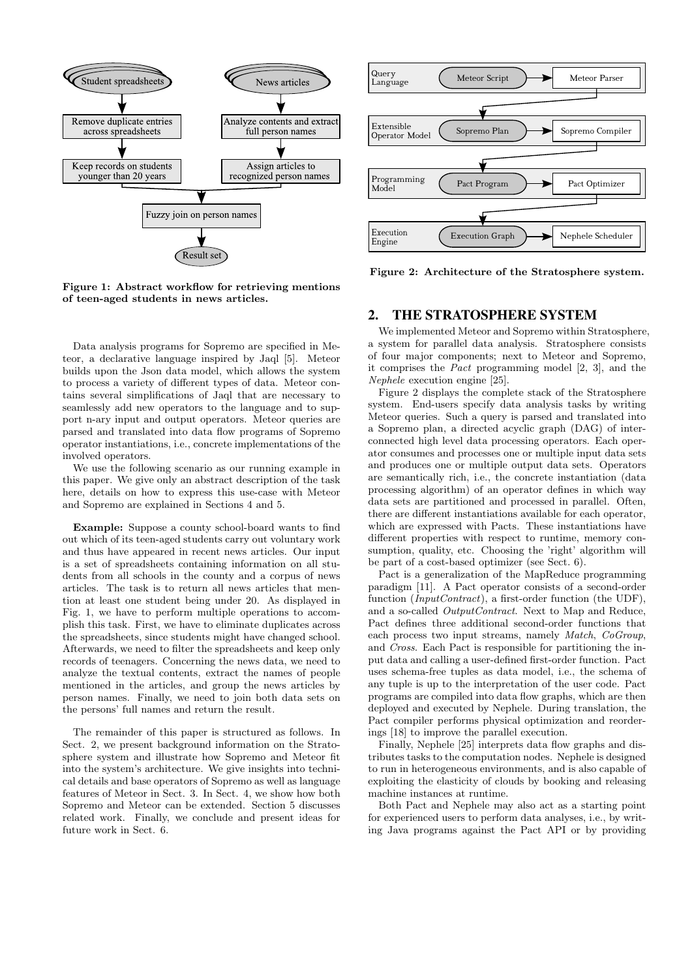

Figure 1: Abstract workflow for retrieving mentions of teen-aged students in news articles.

Data analysis programs for Sopremo are specified in Meteor, a declarative language inspired by Jaql [5]. Meteor builds upon the Json data model, which allows the system to process a variety of different types of data. Meteor contains several simplifications of Jaql that are necessary to seamlessly add new operators to the language and to support n-ary input and output operators. Meteor queries are parsed and translated into data flow programs of Sopremo operator instantiations, i.e., concrete implementations of the involved operators.

We use the following scenario as our running example in this paper. We give only an abstract description of the task here, details on how to express this use-case with Meteor and Sopremo are explained in Sections 4 and 5.

Example: Suppose a county school-board wants to find out which of its teen-aged students carry out voluntary work and thus have appeared in recent news articles. Our input is a set of spreadsheets containing information on all students from all schools in the county and a corpus of news articles. The task is to return all news articles that mention at least one student being under 20. As displayed in Fig. 1, we have to perform multiple operations to accomplish this task. First, we have to eliminate duplicates across the spreadsheets, since students might have changed school. Afterwards, we need to filter the spreadsheets and keep only records of teenagers. Concerning the news data, we need to analyze the textual contents, extract the names of people mentioned in the articles, and group the news articles by person names. Finally, we need to join both data sets on the persons' full names and return the result.

The remainder of this paper is structured as follows. In Sect. 2, we present background information on the Stratosphere system and illustrate how Sopremo and Meteor fit into the system's architecture. We give insights into technical details and base operators of Sopremo as well as language features of Meteor in Sect. 3. In Sect. 4, we show how both Sopremo and Meteor can be extended. Section 5 discusses related work. Finally, we conclude and present ideas for future work in Sect. 6.



Figure 2: Architecture of the Stratosphere system.

# 2. THE STRATOSPHERE SYSTEM

We implemented Meteor and Sopremo within Stratosphere, a system for parallel data analysis. Stratosphere consists of four major components; next to Meteor and Sopremo, it comprises the Pact programming model [2, 3], and the Nephele execution engine [25].

Figure 2 displays the complete stack of the Stratosphere system. End-users specify data analysis tasks by writing Meteor queries. Such a query is parsed and translated into a Sopremo plan, a directed acyclic graph (DAG) of interconnected high level data processing operators. Each operator consumes and processes one or multiple input data sets and produces one or multiple output data sets. Operators are semantically rich, i.e., the concrete instantiation (data processing algorithm) of an operator defines in which way data sets are partitioned and processed in parallel. Often, there are different instantiations available for each operator, which are expressed with Pacts. These instantiations have different properties with respect to runtime, memory consumption, quality, etc. Choosing the 'right' algorithm will be part of a cost-based optimizer (see Sect. 6).

Pact is a generalization of the MapReduce programming paradigm [11]. A Pact operator consists of a second-order function (*InputContract*), a first-order function (the UDF), and a so-called OutputContract. Next to Map and Reduce, Pact defines three additional second-order functions that each process two input streams, namely Match, CoGroup, and Cross. Each Pact is responsible for partitioning the input data and calling a user-defined first-order function. Pact uses schema-free tuples as data model, i.e., the schema of any tuple is up to the interpretation of the user code. Pact programs are compiled into data flow graphs, which are then deployed and executed by Nephele. During translation, the Pact compiler performs physical optimization and reorderings [18] to improve the parallel execution.

Finally, Nephele [25] interprets data flow graphs and distributes tasks to the computation nodes. Nephele is designed to run in heterogeneous environments, and is also capable of exploiting the elasticity of clouds by booking and releasing machine instances at runtime.

Both Pact and Nephele may also act as a starting point for experienced users to perform data analyses, i.e., by writing Java programs against the Pact API or by providing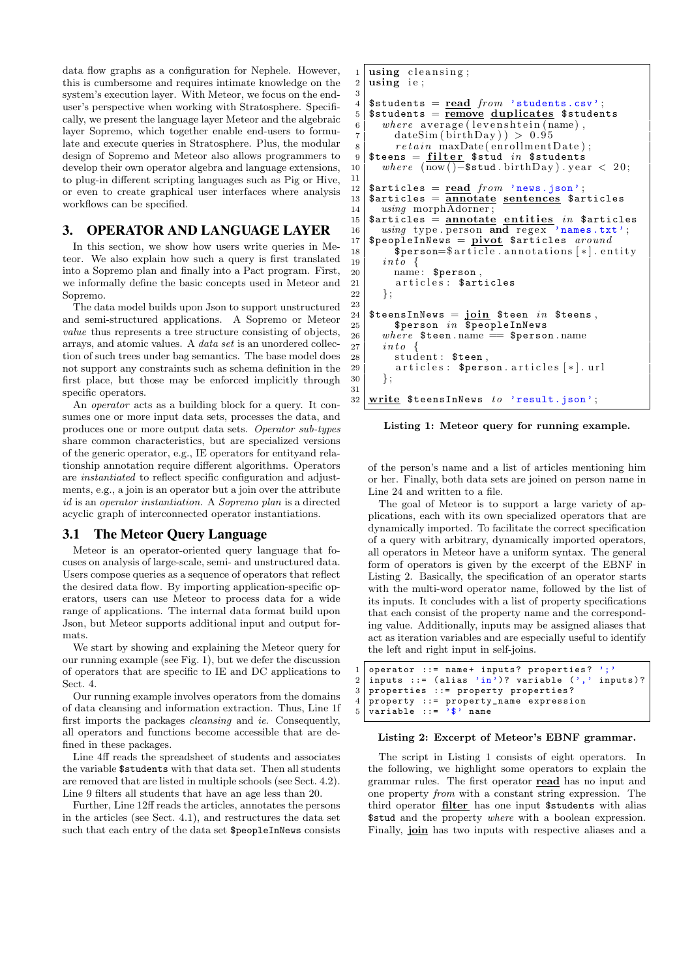data flow graphs as a configuration for Nephele. However, this is cumbersome and requires intimate knowledge on the system's execution layer. With Meteor, we focus on the enduser's perspective when working with Stratosphere. Specifically, we present the language layer Meteor and the algebraic layer Sopremo, which together enable end-users to formulate and execute queries in Stratosphere. Plus, the modular design of Sopremo and Meteor also allows programmers to develop their own operator algebra and language extensions, to plug-in different scripting languages such as Pig or Hive, or even to create graphical user interfaces where analysis workflows can be specified.

## 3. OPERATOR AND LANGUAGE LAYER

In this section, we show how users write queries in Meteor. We also explain how such a query is first translated into a Sopremo plan and finally into a Pact program. First, we informally define the basic concepts used in Meteor and Sopremo.

The data model builds upon Json to support unstructured and semi-structured applications. A Sopremo or Meteor value thus represents a tree structure consisting of objects, arrays, and atomic values. A data set is an unordered collection of such trees under bag semantics. The base model does not support any constraints such as schema definition in the first place, but those may be enforced implicitly through specific operators.

An operator acts as a building block for a query. It consumes one or more input data sets, processes the data, and produces one or more output data sets. Operator sub-types share common characteristics, but are specialized versions of the generic operator, e.g., IE operators for entityand relationship annotation require different algorithms. Operators are instantiated to reflect specific configuration and adjustments, e.g., a join is an operator but a join over the attribute id is an operator instantiation. A Sopremo plan is a directed acyclic graph of interconnected operator instantiations.

## 3.1 The Meteor Query Language

Meteor is an operator-oriented query language that focuses on analysis of large-scale, semi- and unstructured data. Users compose queries as a sequence of operators that reflect the desired data flow. By importing application-specific operators, users can use Meteor to process data for a wide range of applications. The internal data format build upon Json, but Meteor supports additional input and output formats.

We start by showing and explaining the Meteor query for our running example (see Fig. 1), but we defer the discussion of operators that are specific to IE and DC applications to Sect. 4.

Our running example involves operators from the domains of data cleansing and information extraction. Thus, Line 1f first imports the packages cleansing and ie. Consequently, all operators and functions become accessible that are defined in these packages.

Line 4ff reads the spreadsheet of students and associates the variable \$students with that data set. Then all students are removed that are listed in multiple schools (see Sect. 4.2). Line 9 filters all students that have an age less than 20.

Further, Line 12ff reads the articles, annotates the persons in the articles (see Sect. 4.1), and restructures the data set such that each entry of the data set \$peopleInNews consists

```
1 using cleansing;
  2 \mid using ie;
 3
 4 \mid $students = read from 'students.csv';
 5 \mid $students = remove duplicates $students
 6 \mid where average (levenshtein (name),
 7 dateSim ( birthDay ) ) > 0.95
 8 \mid \qquad \qquad \qquad \qquad \qquad \qquad \qquad \qquad \qquad \qquad \qquad \qquad \qquad \qquad \qquad \qquad \qquad \qquad \qquad \qquad \qquad \qquad \qquad \qquad \qquad \qquad \qquad \qquad \qquad \qquad \qquad \qquad \qquad \qquad \qquad \qquad9 \text{\$teens} = \text{filter} \text{\$stud} in \text{\$students}10 | where (now() - $stud . birth Day) . year < 20;
11
12 \{\texttt{Sarticles} = \texttt{read} \ from \ 'news.ison' ;\ \texttt{Sarticles} = \overline{\texttt{annotate} \ sentences} \ \texttt{Sari}\texttt{Sarticles} = \overline{\text{annotate}} \text{ sentences} $articles
14 | using morphAdorner;
15 \sqrt{\frac{15}{15}} articles = annotate entities in $articles
16 using type . person and regex 'names.txt';<br>17 SpeopleInNews = pivot Sarticles around
      $peopleInNews = pivot $articles around
18 \bullet \frac{1}{2} \frac{1}{2} \frac{1}{2} \frac{1}{2} \frac{1}{2} \frac{1}{2} \frac{1}{2} \frac{1}{2} \frac{1}{2} \frac{1}{2} \frac{1}{2} \frac{1}{2} \frac{1}{2} \frac{1}{2} \frac{1}{2} \frac{1}{2} \frac{1}{2} \frac{1}{2} \frac{1}{2} \frac{1}{2} \frac{1}{2} 19 \mid \quad int \, o \ \{20 | name: $person,
21 articles: $articles
22 \mid \quad \};
23
24 $teensInNews = \overline{join} $teen in $teens,<br>25 $person in $peopleInNews
25 $person in \Phi $peopleInNews<br>26 where $teen.name = $perso
          where $teen.name = $person.name
27 \mid in to
28 student: $teen,
29 articles: person.\arrices [*].url<br>30 :
          \} ;
\frac{31}{32}write t \in \mathbb{S} at t \in \mathbb{S} ison ' ;
```
Listing 1: Meteor query for running example.

of the person's name and a list of articles mentioning him or her. Finally, both data sets are joined on person name in Line 24 and written to a file.

The goal of Meteor is to support a large variety of applications, each with its own specialized operators that are dynamically imported. To facilitate the correct specification of a query with arbitrary, dynamically imported operators, all operators in Meteor have a uniform syntax. The general form of operators is given by the excerpt of the EBNF in Listing 2. Basically, the specification of an operator starts with the multi-word operator name, followed by the list of its inputs. It concludes with a list of property specifications that each consist of the property name and the corresponding value. Additionally, inputs may be assigned aliases that act as iteration variables and are especially useful to identify the left and right input in self-joins.

```
1 operator ::= name+ inputs? properties? ';'<br>2 inputs ::= (alias 'in')? variable (',' inputs)?
2 inputs ::= (alias 'in<sup>3</sup>)? variable (', 3 properties ::= property properties?
\begin{array}{c} 3 \text{ properties} : \text{if property properties?} \\ 4 \text{ property} : \text{if property name express} \end{array}4 property ::= property_name expression
5 \mid \mathtt{variable} :: = \{3, 3, \ldots \} name
```
#### Listing 2: Excerpt of Meteor's EBNF grammar.

The script in Listing 1 consists of eight operators. In the following, we highlight some operators to explain the grammar rules. The first operator read has no input and one property from with a constant string expression. The third operator filter has one input \$students with alias \$stud and the property where with a boolean expression. Finally, join has two inputs with respective aliases and a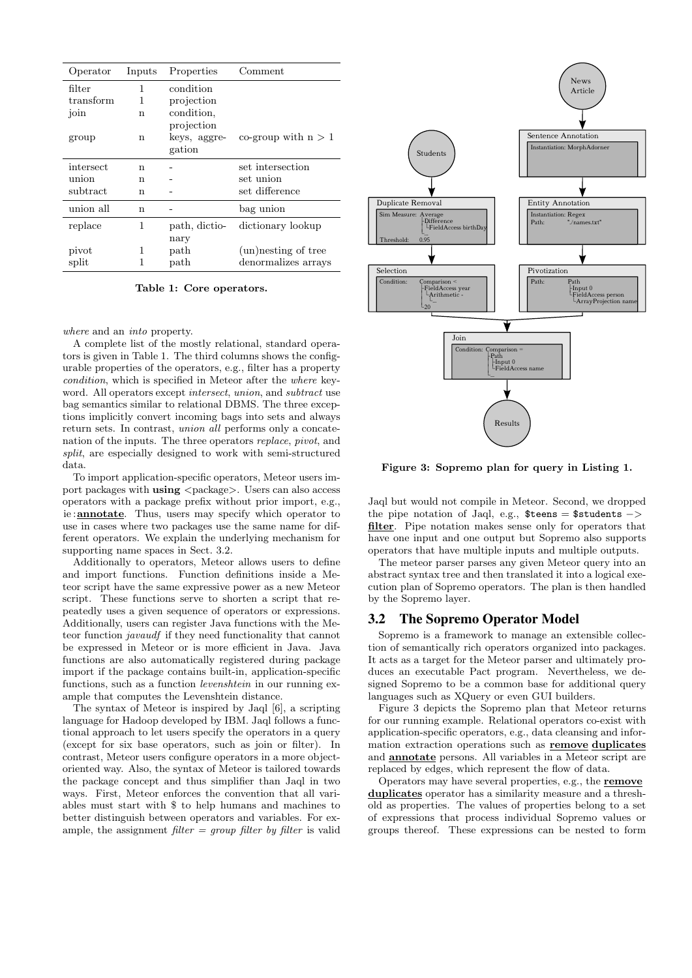| Operator  | Inputs | Properties    | Comment               |
|-----------|--------|---------------|-----------------------|
| filter    | 1      | condition     |                       |
| transform | 1      | projection    |                       |
| join      | n      | condition,    |                       |
|           |        | projection    |                       |
| group     | n      | keys, aggre-  | co-group with $n > 1$ |
|           |        | gation        |                       |
| intersect | n      |               | set intersection      |
| union     | n      |               | set union             |
| subtract  | n      |               | set difference        |
| union all | n      |               | bag union             |
| replace   | 1      | path, dictio- | dictionary lookup     |
|           |        | nary          |                       |
| pivot     | 1      | path          | (un) nesting of tree  |
| split     |        | $_{\rm path}$ | denormalizes arrays   |

Table 1: Core operators.

where and an into property.

A complete list of the mostly relational, standard operators is given in Table 1. The third columns shows the configurable properties of the operators, e.g., filter has a property condition, which is specified in Meteor after the where keyword. All operators except intersect, union, and subtract use bag semantics similar to relational DBMS. The three exceptions implicitly convert incoming bags into sets and always return sets. In contrast, union all performs only a concatenation of the inputs. The three operators replace, pivot, and split, are especially designed to work with semi-structured data.

To import application-specific operators, Meteor users import packages with using <package>. Users can also access operators with a package prefix without prior import, e.g., ie :annotate. Thus, users may specify which operator to use in cases where two packages use the same name for different operators. We explain the underlying mechanism for supporting name spaces in Sect. 3.2.

Additionally to operators, Meteor allows users to define and import functions. Function definitions inside a Meteor script have the same expressive power as a new Meteor script. These functions serve to shorten a script that repeatedly uses a given sequence of operators or expressions. Additionally, users can register Java functions with the Meteor function javaudf if they need functionality that cannot be expressed in Meteor or is more efficient in Java. Java functions are also automatically registered during package import if the package contains built-in, application-specific functions, such as a function levenshtein in our running example that computes the Levenshtein distance.

The syntax of Meteor is inspired by Jaql [6], a scripting language for Hadoop developed by IBM. Jaql follows a functional approach to let users specify the operators in a query (except for six base operators, such as join or filter). In contrast, Meteor users configure operators in a more objectoriented way. Also, the syntax of Meteor is tailored towards the package concept and thus simplifier than Jaql in two ways. First, Meteor enforces the convention that all variables must start with \$ to help humans and machines to better distinguish between operators and variables. For example, the assignment filter  $= group$  filter by filter is valid



Figure 3: Sopremo plan for query in Listing 1.

Jaql but would not compile in Meteor. Second, we dropped the pipe notation of Jaql, e.g.,  $\text{Steens} = \text{Students}$  -> filter. Pipe notation makes sense only for operators that have one input and one output but Sopremo also supports operators that have multiple inputs and multiple outputs.

The meteor parser parses any given Meteor query into an abstract syntax tree and then translated it into a logical execution plan of Sopremo operators. The plan is then handled by the Sopremo layer.

#### 3.2 The Sopremo Operator Model

Sopremo is a framework to manage an extensible collection of semantically rich operators organized into packages. It acts as a target for the Meteor parser and ultimately produces an executable Pact program. Nevertheless, we designed Sopremo to be a common base for additional query languages such as XQuery or even GUI builders.

Figure 3 depicts the Sopremo plan that Meteor returns for our running example. Relational operators co-exist with application-specific operators, e.g., data cleansing and information extraction operations such as remove duplicates and annotate persons. All variables in a Meteor script are replaced by edges, which represent the flow of data.

Operators may have several properties, e.g., the remove duplicates operator has a similarity measure and a threshold as properties. The values of properties belong to a set of expressions that process individual Sopremo values or groups thereof. These expressions can be nested to form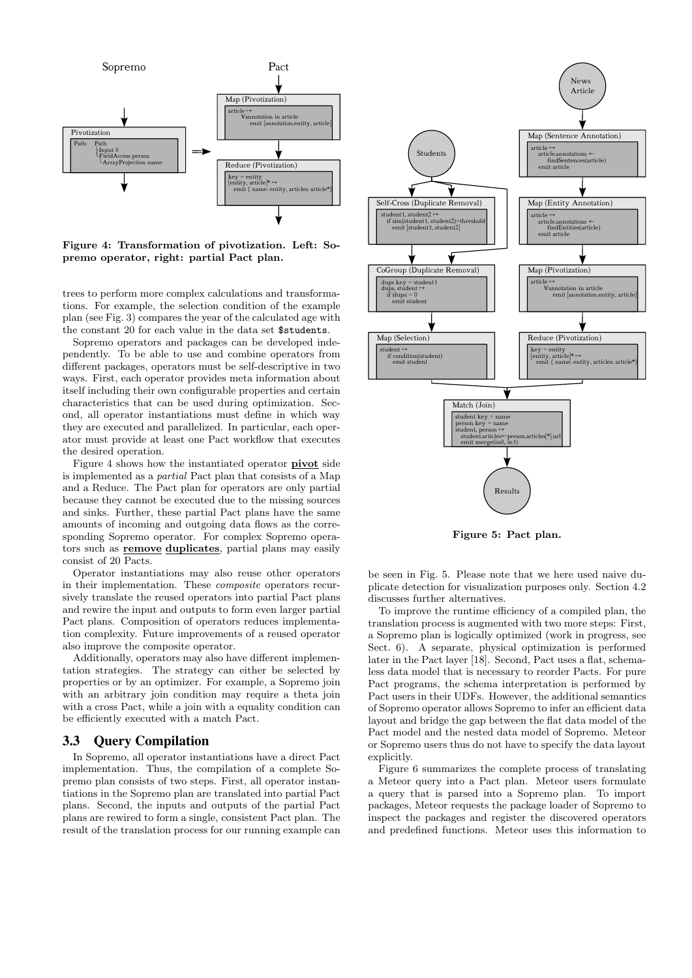

Figure 4: Transformation of pivotization. Left: Sopremo operator, right: partial Pact plan.

trees to perform more complex calculations and transformations. For example, the selection condition of the example plan (see Fig. 3) compares the year of the calculated age with the constant 20 for each value in the data set \$students.

Sopremo operators and packages can be developed independently. To be able to use and combine operators from different packages, operators must be self-descriptive in two ways. First, each operator provides meta information about itself including their own configurable properties and certain characteristics that can be used during optimization. Second, all operator instantiations must define in which way they are executed and parallelized. In particular, each operator must provide at least one Pact workflow that executes the desired operation.

Figure 4 shows how the instantiated operator pivot side is implemented as a partial Pact plan that consists of a Map and a Reduce. The Pact plan for operators are only partial because they cannot be executed due to the missing sources and sinks. Further, these partial Pact plans have the same amounts of incoming and outgoing data flows as the corresponding Sopremo operator. For complex Sopremo operators such as **remove duplicates**, partial plans may easily consist of 20 Pacts.

Operator instantiations may also reuse other operators in their implementation. These composite operators recursively translate the reused operators into partial Pact plans and rewire the input and outputs to form even larger partial Pact plans. Composition of operators reduces implementation complexity. Future improvements of a reused operator also improve the composite operator.

Additionally, operators may also have different implementation strategies. The strategy can either be selected by properties or by an optimizer. For example, a Sopremo join with an arbitrary join condition may require a theta join with a cross Pact, while a join with a equality condition can be efficiently executed with a match Pact.

## 3.3 Query Compilation

In Sopremo, all operator instantiations have a direct Pact implementation. Thus, the compilation of a complete Sopremo plan consists of two steps. First, all operator instantiations in the Sopremo plan are translated into partial Pact plans. Second, the inputs and outputs of the partial Pact plans are rewired to form a single, consistent Pact plan. The result of the translation process for our running example can



Figure 5: Pact plan.

be seen in Fig. 5. Please note that we here used naive duplicate detection for visualization purposes only. Section 4.2 discusses further alternatives.

To improve the runtime efficiency of a compiled plan, the translation process is augmented with two more steps: First, a Sopremo plan is logically optimized (work in progress, see Sect. 6). A separate, physical optimization is performed later in the Pact layer [18]. Second, Pact uses a flat, schemaless data model that is necessary to reorder Pacts. For pure Pact programs, the schema interpretation is performed by Pact users in their UDFs. However, the additional semantics of Sopremo operator allows Sopremo to infer an efficient data layout and bridge the gap between the flat data model of the Pact model and the nested data model of Sopremo. Meteor or Sopremo users thus do not have to specify the data layout explicitly.

Figure 6 summarizes the complete process of translating a Meteor query into a Pact plan. Meteor users formulate a query that is parsed into a Sopremo plan. To import packages, Meteor requests the package loader of Sopremo to inspect the packages and register the discovered operators and predefined functions. Meteor uses this information to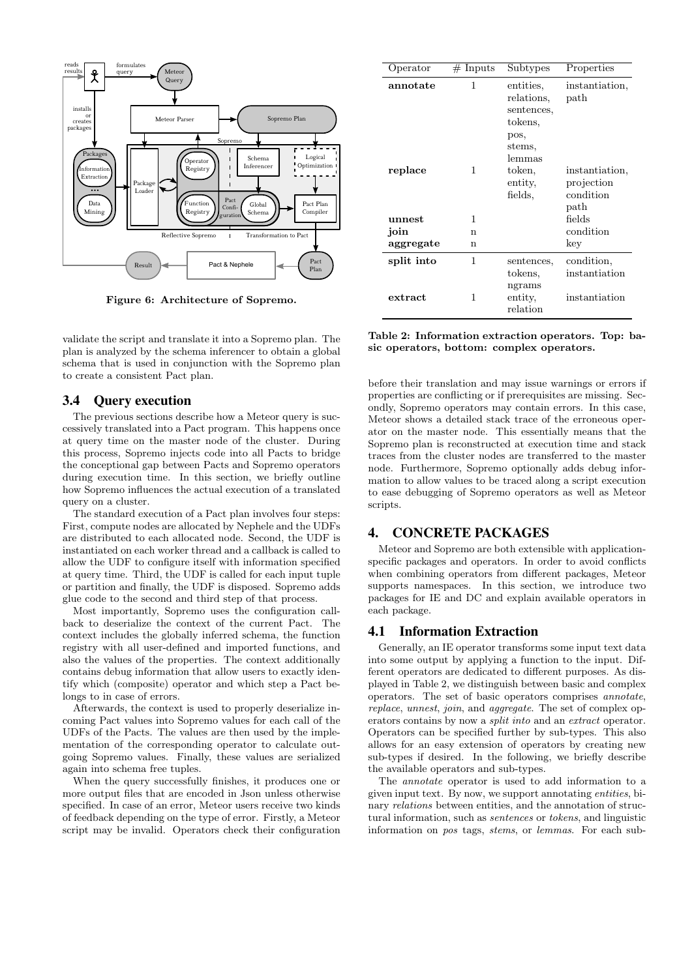

Figure 6: Architecture of Sopremo.

validate the script and translate it into a Sopremo plan. The plan is analyzed by the schema inferencer to obtain a global schema that is used in conjunction with the Sopremo plan to create a consistent Pact plan.

## 3.4 Query execution

The previous sections describe how a Meteor query is successively translated into a Pact program. This happens once at query time on the master node of the cluster. During this process, Sopremo injects code into all Pacts to bridge the conceptional gap between Pacts and Sopremo operators during execution time. In this section, we briefly outline how Sopremo influences the actual execution of a translated query on a cluster.

The standard execution of a Pact plan involves four steps: First, compute nodes are allocated by Nephele and the UDFs are distributed to each allocated node. Second, the UDF is instantiated on each worker thread and a callback is called to allow the UDF to configure itself with information specified at query time. Third, the UDF is called for each input tuple or partition and finally, the UDF is disposed. Sopremo adds glue code to the second and third step of that process.

Most importantly, Sopremo uses the configuration callback to deserialize the context of the current Pact. The context includes the globally inferred schema, the function registry with all user-defined and imported functions, and also the values of the properties. The context additionally contains debug information that allow users to exactly identify which (composite) operator and which step a Pact belongs to in case of errors.

Afterwards, the context is used to properly deserialize incoming Pact values into Sopremo values for each call of the UDFs of the Pacts. The values are then used by the implementation of the corresponding operator to calculate outgoing Sopremo values. Finally, these values are serialized again into schema free tuples.

When the query successfully finishes, it produces one or more output files that are encoded in Json unless otherwise specified. In case of an error, Meteor users receive two kinds of feedback depending on the type of error. Firstly, a Meteor script may be invalid. Operators check their configuration

| Operator   | $#$ Inputs | Subtypes                                                                     | Properties                                        |
|------------|------------|------------------------------------------------------------------------------|---------------------------------------------------|
| annotate   | 1          | entities,<br>relations,<br>sentences,<br>tokens.<br>pos,<br>stems,<br>lemmas | instantiation,<br>$_{\rm path}$                   |
| replace    | 1          | token,<br>entity,<br>fields.                                                 | instantiation,<br>projection<br>condition<br>path |
| unnest     | 1          |                                                                              | fields                                            |
| join       | n          |                                                                              | condition                                         |
| aggregate  | n          |                                                                              | key                                               |
| split into | 1          | sentences,<br>tokens,<br>ngrams                                              | condition,<br>instantiation                       |
| extract    | 1          | entity,<br>relation                                                          | instantiation                                     |

Table 2: Information extraction operators. Top: basic operators, bottom: complex operators.

before their translation and may issue warnings or errors if properties are conflicting or if prerequisites are missing. Secondly, Sopremo operators may contain errors. In this case, Meteor shows a detailed stack trace of the erroneous operator on the master node. This essentially means that the Sopremo plan is reconstructed at execution time and stack traces from the cluster nodes are transferred to the master node. Furthermore, Sopremo optionally adds debug information to allow values to be traced along a script execution to ease debugging of Sopremo operators as well as Meteor scripts.

#### 4. CONCRETE PACKAGES

Meteor and Sopremo are both extensible with applicationspecific packages and operators. In order to avoid conflicts when combining operators from different packages, Meteor supports namespaces. In this section, we introduce two packages for IE and DC and explain available operators in each package.

### 4.1 Information Extraction

Generally, an IE operator transforms some input text data into some output by applying a function to the input. Different operators are dedicated to different purposes. As displayed in Table 2, we distinguish between basic and complex operators. The set of basic operators comprises annotate, replace, unnest, join, and aggregate. The set of complex operators contains by now a split into and an extract operator. Operators can be specified further by sub-types. This also allows for an easy extension of operators by creating new sub-types if desired. In the following, we briefly describe the available operators and sub-types.

The annotate operator is used to add information to a given input text. By now, we support annotating entities, binary *relations* between entities, and the annotation of structural information, such as sentences or tokens, and linguistic information on pos tags, stems, or lemmas. For each sub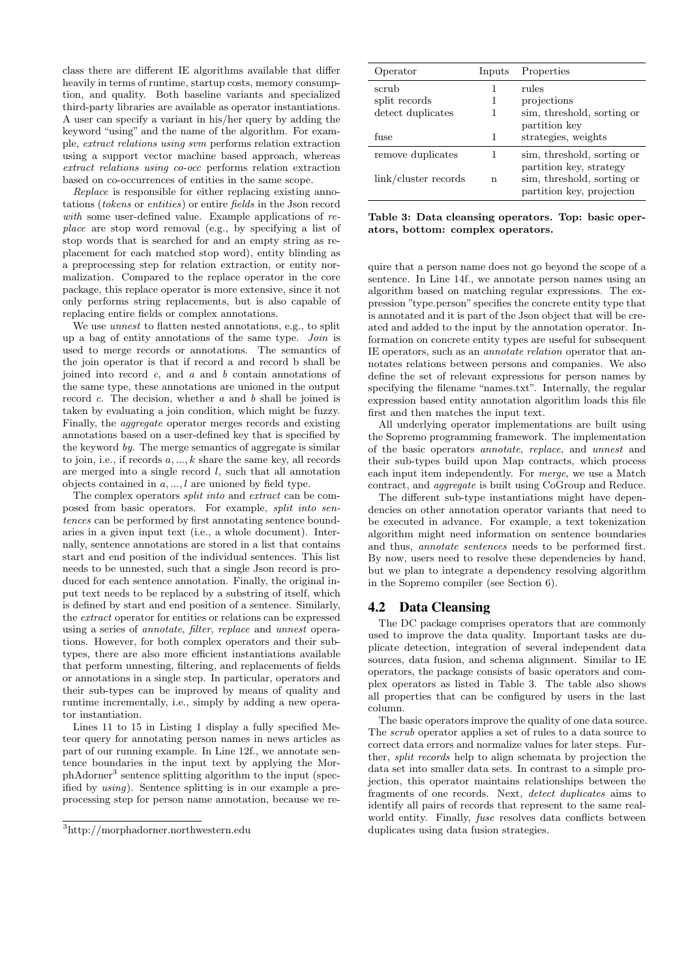class there are different IE algorithms available that differ heavily in terms of runtime, startup costs, memory consumption, and quality. Both baseline variants and specialized third-party libraries are available as operator instantiations. A user can specify a variant in his/her query by adding the keyword "using" and the name of the algorithm. For example, extract relations using svm performs relation extraction using a support vector machine based approach, whereas extract relations using co-occ performs relation extraction based on co-occurrences of entities in the same scope.

Replace is responsible for either replacing existing annotations (tokens or entities) or entire fields in the Json record with some user-defined value. Example applications of replace are stop word removal (e.g., by specifying a list of stop words that is searched for and an empty string as replacement for each matched stop word), entity blinding as a preprocessing step for relation extraction, or entity normalization. Compared to the replace operator in the core package, this replace operator is more extensive, since it not only performs string replacements, but is also capable of replacing entire fields or complex annotations.

We use unnest to flatten nested annotations, e.g., to split up a bag of entity annotations of the same type. Join is used to merge records or annotations. The semantics of the join operator is that if record a and record b shall be joined into record  $c$ , and  $a$  and  $b$  contain annotations of the same type, these annotations are unioned in the output record  $c$ . The decision, whether  $a$  and  $b$  shall be joined is taken by evaluating a join condition, which might be fuzzy. Finally, the aggregate operator merges records and existing annotations based on a user-defined key that is specified by the keyword by. The merge semantics of aggregate is similar to join, i.e., if records  $a, \ldots, k$  share the same key, all records are merged into a single record  $l$ , such that all annotation objects contained in  $a, \ldots, l$  are unioned by field type.

The complex operators split into and extract can be composed from basic operators. For example, split into sentences can be performed by first annotating sentence boundaries in a given input text (i.e., a whole document). Internally, sentence annotations are stored in a list that contains start and end position of the individual sentences. This list needs to be unnested, such that a single Json record is produced for each sentence annotation. Finally, the original input text needs to be replaced by a substring of itself, which is defined by start and end position of a sentence. Similarly, the extract operator for entities or relations can be expressed using a series of annotate, filter, replace and unnest operations. However, for both complex operators and their subtypes, there are also more efficient instantiations available that perform unnesting, filtering, and replacements of fields or annotations in a single step. In particular, operators and their sub-types can be improved by means of quality and runtime incrementally, i.e., simply by adding a new operator instantiation.

Lines 11 to 15 in Listing 1 display a fully specified Meteor query for annotating person names in news articles as part of our running example. In Line 12f., we annotate sentence boundaries in the input text by applying the MorphAdorner<sup>3</sup> sentence splitting algorithm to the input (specified by using). Sentence splitting is in our example a preprocessing step for person name annotation, because we re-

| Operator             | Inputs | Properties                 |
|----------------------|--------|----------------------------|
| scrub                | 1      | rules                      |
| split records        |        | projections                |
| detect duplicates    |        | sim, threshold, sorting or |
|                      |        | partition key              |
| fuse                 | 1      | strategies, weights        |
| remove duplicates    | 1      | sim, threshold, sorting or |
|                      |        | partition key, strategy    |
| link/cluster records | n      | sim, threshold, sorting or |
|                      |        | partition key, projection  |

Table 3: Data cleansing operators. Top: basic operators, bottom: complex operators.

quire that a person name does not go beyond the scope of a sentence. In Line 14f., we annotate person names using an algorithm based on matching regular expressions. The expression "type.person" specifies the concrete entity type that is annotated and it is part of the Json object that will be created and added to the input by the annotation operator. Information on concrete entity types are useful for subsequent IE operators, such as an annotate relation operator that annotates relations between persons and companies. We also define the set of relevant expressions for person names by specifying the filename "names.txt". Internally, the regular expression based entity annotation algorithm loads this file first and then matches the input text.

All underlying operator implementations are built using the Sopremo programming framework. The implementation of the basic operators annotate, replace, and unnest and their sub-types build upon Map contracts, which process each input item independently. For merge, we use a Match contract, and aggregate is built using CoGroup and Reduce.

The different sub-type instantiations might have dependencies on other annotation operator variants that need to be executed in advance. For example, a text tokenization algorithm might need information on sentence boundaries and thus, annotate sentences needs to be performed first. By now, users need to resolve these dependencies by hand, but we plan to integrate a dependency resolving algorithm in the Sopremo compiler (see Section 6).

#### 4.2 Data Cleansing

The DC package comprises operators that are commonly used to improve the data quality. Important tasks are duplicate detection, integration of several independent data sources, data fusion, and schema alignment. Similar to IE operators, the package consists of basic operators and complex operators as listed in Table 3. The table also shows all properties that can be configured by users in the last column.

The basic operators improve the quality of one data source. The scrub operator applies a set of rules to a data source to correct data errors and normalize values for later steps. Further, split records help to align schemata by projection the data set into smaller data sets. In contrast to a simple projection, this operator maintains relationships between the fragments of one records. Next, detect duplicates aims to identify all pairs of records that represent to the same realworld entity. Finally, fuse resolves data conflicts between duplicates using data fusion strategies.

 $^3$ http://morphadorner.northwestern.edu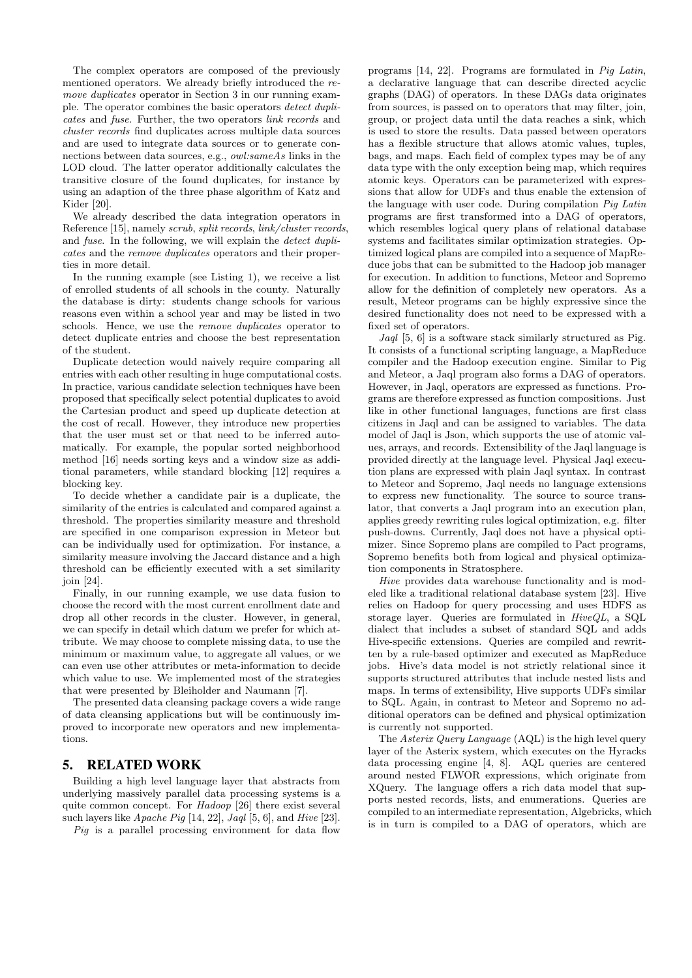The complex operators are composed of the previously mentioned operators. We already briefly introduced the remove duplicates operator in Section 3 in our running example. The operator combines the basic operators detect duplicates and fuse. Further, the two operators link records and cluster records find duplicates across multiple data sources and are used to integrate data sources or to generate connections between data sources, e.g., *owl:sameAs* links in the LOD cloud. The latter operator additionally calculates the transitive closure of the found duplicates, for instance by using an adaption of the three phase algorithm of Katz and Kider [20].

We already described the data integration operators in Reference [15], namely scrub, split records, link/cluster records, and fuse. In the following, we will explain the detect duplicates and the remove duplicates operators and their properties in more detail.

In the running example (see Listing 1), we receive a list of enrolled students of all schools in the county. Naturally the database is dirty: students change schools for various reasons even within a school year and may be listed in two schools. Hence, we use the remove duplicates operator to detect duplicate entries and choose the best representation of the student.

Duplicate detection would naively require comparing all entries with each other resulting in huge computational costs. In practice, various candidate selection techniques have been proposed that specifically select potential duplicates to avoid the Cartesian product and speed up duplicate detection at the cost of recall. However, they introduce new properties that the user must set or that need to be inferred automatically. For example, the popular sorted neighborhood method [16] needs sorting keys and a window size as additional parameters, while standard blocking [12] requires a blocking key.

To decide whether a candidate pair is a duplicate, the similarity of the entries is calculated and compared against a threshold. The properties similarity measure and threshold are specified in one comparison expression in Meteor but can be individually used for optimization. For instance, a similarity measure involving the Jaccard distance and a high threshold can be efficiently executed with a set similarity join [24].

Finally, in our running example, we use data fusion to choose the record with the most current enrollment date and drop all other records in the cluster. However, in general, we can specify in detail which datum we prefer for which attribute. We may choose to complete missing data, to use the minimum or maximum value, to aggregate all values, or we can even use other attributes or meta-information to decide which value to use. We implemented most of the strategies that were presented by Bleiholder and Naumann [7].

The presented data cleansing package covers a wide range of data cleansing applications but will be continuously improved to incorporate new operators and new implementations.

## 5. RELATED WORK

Building a high level language layer that abstracts from underlying massively parallel data processing systems is a quite common concept. For Hadoop [26] there exist several such layers like  $A$ pache Pig [14, 22], Jaql [5, 6], and Hive [23].

Pig is a parallel processing environment for data flow

programs [14, 22]. Programs are formulated in Pig Latin, a declarative language that can describe directed acyclic graphs (DAG) of operators. In these DAGs data originates from sources, is passed on to operators that may filter, join, group, or project data until the data reaches a sink, which is used to store the results. Data passed between operators has a flexible structure that allows atomic values, tuples, bags, and maps. Each field of complex types may be of any data type with the only exception being map, which requires atomic keys. Operators can be parameterized with expressions that allow for UDFs and thus enable the extension of the language with user code. During compilation Pig Latin programs are first transformed into a DAG of operators, which resembles logical query plans of relational database systems and facilitates similar optimization strategies. Optimized logical plans are compiled into a sequence of MapReduce jobs that can be submitted to the Hadoop job manager for execution. In addition to functions, Meteor and Sopremo allow for the definition of completely new operators. As a result, Meteor programs can be highly expressive since the desired functionality does not need to be expressed with a fixed set of operators.

Jaql [5, 6] is a software stack similarly structured as Pig. It consists of a functional scripting language, a MapReduce compiler and the Hadoop execution engine. Similar to Pig and Meteor, a Jaql program also forms a DAG of operators. However, in Jaql, operators are expressed as functions. Programs are therefore expressed as function compositions. Just like in other functional languages, functions are first class citizens in Jaql and can be assigned to variables. The data model of Jaql is Json, which supports the use of atomic values, arrays, and records. Extensibility of the Jaql language is provided directly at the language level. Physical Jaql execution plans are expressed with plain Jaql syntax. In contrast to Meteor and Sopremo, Jaql needs no language extensions to express new functionality. The source to source translator, that converts a Jaql program into an execution plan, applies greedy rewriting rules logical optimization, e.g. filter push-downs. Currently, Jaql does not have a physical optimizer. Since Sopremo plans are compiled to Pact programs, Sopremo benefits both from logical and physical optimization components in Stratosphere.

Hive provides data warehouse functionality and is modeled like a traditional relational database system [23]. Hive relies on Hadoop for query processing and uses HDFS as storage layer. Queries are formulated in HiveQL, a SQL dialect that includes a subset of standard SQL and adds Hive-specific extensions. Queries are compiled and rewritten by a rule-based optimizer and executed as MapReduce jobs. Hive's data model is not strictly relational since it supports structured attributes that include nested lists and maps. In terms of extensibility, Hive supports UDFs similar to SQL. Again, in contrast to Meteor and Sopremo no additional operators can be defined and physical optimization is currently not supported.

The Asterix Query Language (AQL) is the high level query layer of the Asterix system, which executes on the Hyracks data processing engine [4, 8]. AQL queries are centered around nested FLWOR expressions, which originate from XQuery. The language offers a rich data model that supports nested records, lists, and enumerations. Queries are compiled to an intermediate representation, Algebricks, which is in turn is compiled to a DAG of operators, which are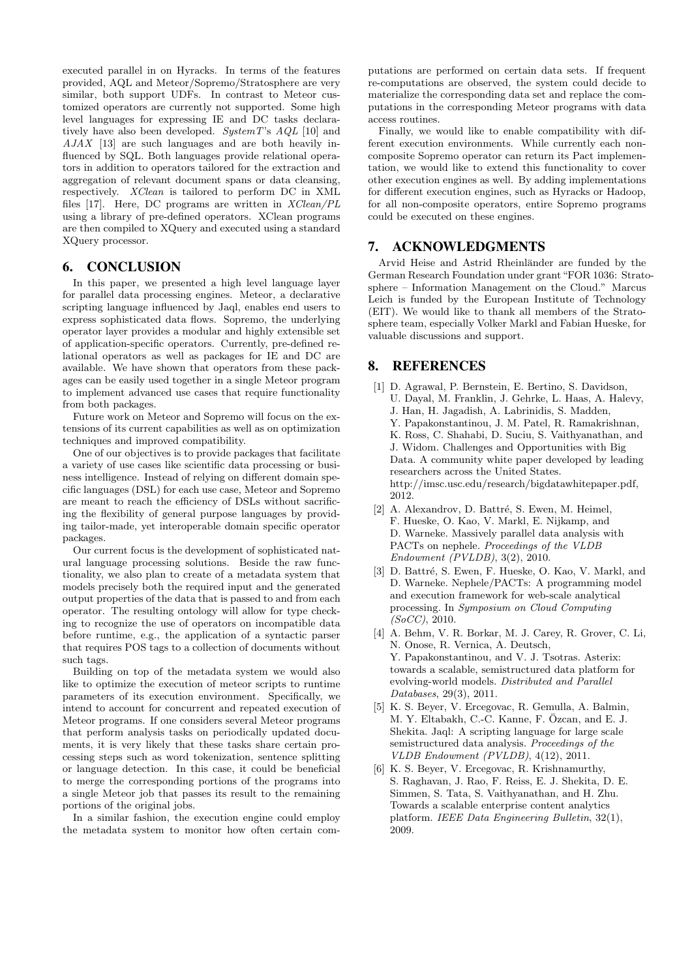executed parallel in on Hyracks. In terms of the features provided, AQL and Meteor/Sopremo/Stratosphere are very similar, both support UDFs. In contrast to Meteor customized operators are currently not supported. Some high level languages for expressing IE and DC tasks declaratively have also been developed. SystemT's  $AQL$  [10] and AJAX [13] are such languages and are both heavily influenced by SQL. Both languages provide relational operators in addition to operators tailored for the extraction and aggregation of relevant document spans or data cleansing, respectively. XClean is tailored to perform DC in XML files [17]. Here, DC programs are written in XClean/PL using a library of pre-defined operators. XClean programs are then compiled to XQuery and executed using a standard XQuery processor.

## 6. CONCLUSION

In this paper, we presented a high level language layer for parallel data processing engines. Meteor, a declarative scripting language influenced by Jaql, enables end users to express sophisticated data flows. Sopremo, the underlying operator layer provides a modular and highly extensible set of application-specific operators. Currently, pre-defined relational operators as well as packages for IE and DC are available. We have shown that operators from these packages can be easily used together in a single Meteor program to implement advanced use cases that require functionality from both packages.

Future work on Meteor and Sopremo will focus on the extensions of its current capabilities as well as on optimization techniques and improved compatibility.

One of our objectives is to provide packages that facilitate a variety of use cases like scientific data processing or business intelligence. Instead of relying on different domain specific languages (DSL) for each use case, Meteor and Sopremo are meant to reach the efficiency of DSLs without sacrificing the flexibility of general purpose languages by providing tailor-made, yet interoperable domain specific operator packages.

Our current focus is the development of sophisticated natural language processing solutions. Beside the raw functionality, we also plan to create of a metadata system that models precisely both the required input and the generated output properties of the data that is passed to and from each operator. The resulting ontology will allow for type checking to recognize the use of operators on incompatible data before runtime, e.g., the application of a syntactic parser that requires POS tags to a collection of documents without such tags.

Building on top of the metadata system we would also like to optimize the execution of meteor scripts to runtime parameters of its execution environment. Specifically, we intend to account for concurrent and repeated execution of Meteor programs. If one considers several Meteor programs that perform analysis tasks on periodically updated documents, it is very likely that these tasks share certain processing steps such as word tokenization, sentence splitting or language detection. In this case, it could be beneficial to merge the corresponding portions of the programs into a single Meteor job that passes its result to the remaining portions of the original jobs.

In a similar fashion, the execution engine could employ the metadata system to monitor how often certain com-

putations are performed on certain data sets. If frequent re-computations are observed, the system could decide to materialize the corresponding data set and replace the computations in the corresponding Meteor programs with data access routines.

Finally, we would like to enable compatibility with different execution environments. While currently each noncomposite Sopremo operator can return its Pact implementation, we would like to extend this functionality to cover other execution engines as well. By adding implementations for different execution engines, such as Hyracks or Hadoop, for all non-composite operators, entire Sopremo programs could be executed on these engines.

# 7. ACKNOWLEDGMENTS

Arvid Heise and Astrid Rheinländer are funded by the German Research Foundation under grant"FOR 1036: Stratosphere – Information Management on the Cloud." Marcus Leich is funded by the European Institute of Technology (EIT). We would like to thank all members of the Stratosphere team, especially Volker Markl and Fabian Hueske, for valuable discussions and support.

## 8. REFERENCES

- [1] D. Agrawal, P. Bernstein, E. Bertino, S. Davidson, U. Dayal, M. Franklin, J. Gehrke, L. Haas, A. Halevy, J. Han, H. Jagadish, A. Labrinidis, S. Madden, Y. Papakonstantinou, J. M. Patel, R. Ramakrishnan, K. Ross, C. Shahabi, D. Suciu, S. Vaithyanathan, and J. Widom. Challenges and Opportunities with Big Data. A community white paper developed by leading researchers across the United States. http://imsc.usc.edu/research/bigdatawhitepaper.pdf, 2012.
- [2] A. Alexandrov, D. Battré, S. Ewen, M. Heimel, F. Hueske, O. Kao, V. Markl, E. Nijkamp, and D. Warneke. Massively parallel data analysis with PACTs on nephele. Proceedings of the VLDB Endowment (PVLDB), 3(2), 2010.
- [3] D. Battré, S. Ewen, F. Hueske, O. Kao, V. Markl, and D. Warneke. Nephele/PACTs: A programming model and execution framework for web-scale analytical processing. In Symposium on Cloud Computing (SoCC), 2010.
- [4] A. Behm, V. R. Borkar, M. J. Carey, R. Grover, C. Li, N. Onose, R. Vernica, A. Deutsch, Y. Papakonstantinou, and V. J. Tsotras. Asterix: towards a scalable, semistructured data platform for evolving-world models. Distributed and Parallel Databases, 29(3), 2011.
- [5] K. S. Beyer, V. Ercegovac, R. Gemulla, A. Balmin, M. Y. Eltabakh, C.-C. Kanne, F. Özcan, and E. J. Shekita. Jaql: A scripting language for large scale semistructured data analysis. Proceedings of the VLDB Endowment (PVLDB), 4(12), 2011.
- [6] K. S. Beyer, V. Ercegovac, R. Krishnamurthy, S. Raghavan, J. Rao, F. Reiss, E. J. Shekita, D. E. Simmen, S. Tata, S. Vaithyanathan, and H. Zhu. Towards a scalable enterprise content analytics platform. IEEE Data Engineering Bulletin, 32(1), 2009.